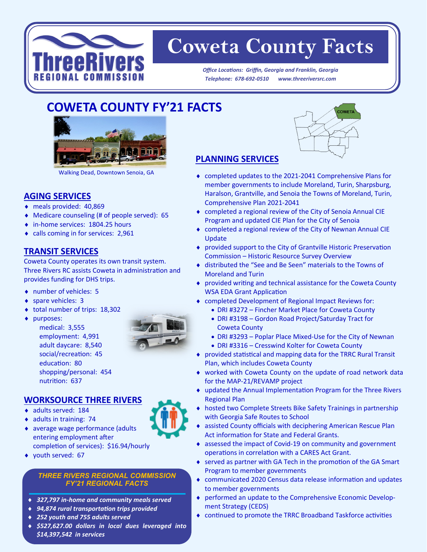

# **Coweta County Facts**

*Office Locations: Griffin, Georgia and Franklin, Georgia Telephone: 678-692-0510 www.threeriversrc.com*

# **COWETA COUNTY FY'21 FACTS**

l



Walking Dead, Downtown Senoia, GA

## **AGING SERVICES**

- meals provided: 40,869
- Medicare counseling (# of people served): 65
- ◆ in-home services: 1804.25 hours
- calls coming in for services: 2,961

#### **TRANSIT SERVICES**

Coweta County operates its own transit system. Three Rivers RC assists Coweta in administration and provides funding for DHS trips.

- number of vehicles: 5
- ◆ spare vehicles: 3
- ◆ total number of trips: 18,302
- ◆ purposes:
	- medical: 3,555 employment: 4,991 adult daycare: 8,540 social/recreation: 45 education: 80 shopping/personal: 454 nutrition: 637



#### **WORKSOURCE THREE RIVERS**

- adults served: 184
- $\bullet$  adults in training: 74
- average wage performance (adults entering employment after completion of services): \$16.94/hourly
- youth served: 67

#### *THREE RIVERS REGIONAL COMMISSION FY'21 REGIONAL FACTS*

- *327,797 in-home and community meals served*
- *94,874 rural transportation trips provided*
- *252 youth and 755 adults served*
- *\$527,627.00 dollars in local dues leveraged into \$14,397,542 in services*



### **PLANNING SERVICES**

- completed updates to the 2021-2041 Comprehensive Plans for member governments to include Moreland, Turin, Sharpsburg, Haralson, Grantville, and Senoia the Towns of Moreland, Turin, Comprehensive Plan 2021-2041
- completed a regional review of the City of Senoia Annual CIE Program and updated CIE Plan for the City of Senoia
- completed a regional review of the City of Newnan Annual CIE Update
- provided support to the City of Grantville Historic Preservation Commission – Historic Resource Survey Overview
- distributed the "See and Be Seen" materials to the Towns of Moreland and Turin
- provided writing and technical assistance for the Coweta County WSA EDA Grant Application
- completed Development of Regional Impact Reviews for:
	- DRI #3272 Fincher Market Place for Coweta County
	- DRI #3198 Gordon Road Project/Saturday Tract for Coweta County
	- DRI #3293 Poplar Place Mixed-Use for the City of Newnan • DRI #3316 – Cresswind Kolter for Coweta County
- provided statistical and mapping data for the TRRC Rural Transit Plan, which includes Coweta County
- worked with Coweta County on the update of road network data for the MAP-21/REVAMP project
- updated the Annual Implementation Program for the Three Rivers Regional Plan
- hosted two Complete Streets Bike Safety Trainings in partnership with Georgia Safe Routes to School
- assisted County officials with deciphering American Rescue Plan Act information for State and Federal Grants.
- assessed the impact of Covid-19 on community and government operations in correlation with a CARES Act Grant.
- ◆ served as partner with GA Tech in the promotion of the GA Smart Program to member governments
- communicated 2020 Census data release information and updates to member governments
- performed an update to the Comprehensive Economic Development Strategy (CEDS)
- continued to promote the TRRC Broadband Taskforce activities